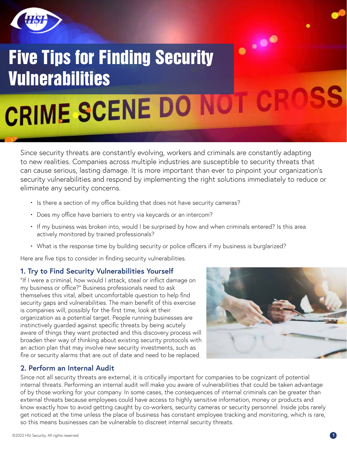

# $\ddotsc$ Five Tips for Finding Security Vulnerabilities CRIME SCENE DO NOT

Since security threats are constantly evolving, workers and criminals are constantly adapting to new realities. Companies across multiple industries are susceptible to security threats that can cause serious, lasting damage. It is more important than ever to pinpoint your organization's security vulnerabilities and respond by implementing the right solutions immediately to reduce or eliminate any security concerns.

- Is there a section of my office building that does not have security cameras?
- Does my office have barriers to entry via keycards or an intercom?
- If my business was broken into, would I be surprised by how and when criminals entered? Is this area actively monitored by trained professionals?
- What is the response time by building security or police officers if my business is burglarized?

Here are five tips to consider in finding security vulnerabilities.

#### **1. Try to Find Security Vulnerabilities Yourself**

"If I were a criminal, how would I attack, steal or inflict damage on my business or office?" Business professionals need to ask themselves this vital, albeit uncomfortable question to help find security gaps and vulnerabilities. The main benefit of this exercise is companies will, possibly for the first time, look at their organization as a potential target. People running businesses are instinctively guarded against specific threats by being acutely aware of things they want protected and this discovery process will broaden their way of thinking about existing security protocols with an action plan that may involve new security investments, such as fire or security alarms that are out of date and need to be replaced.



#### **2. Perform an Internal Audit**

Since not all security threats are external, it is critically important for companies to be cognizant of potential internal threats. Performing an internal audit will make you aware of vulnerabilities that could be taken advantage of by those working for your company. In some cases, the consequences of internal criminals can be greater than external threats because employees could have access to highly sensitive information, money or products and know exactly how to avoid getting caught by co-workers, security cameras or security personnel. Inside jobs rarely get noticed at the time unless the place of business has constant employee tracking and monitoring, which is rare, so this means businesses can be vulnerable to discreet internal security threats.